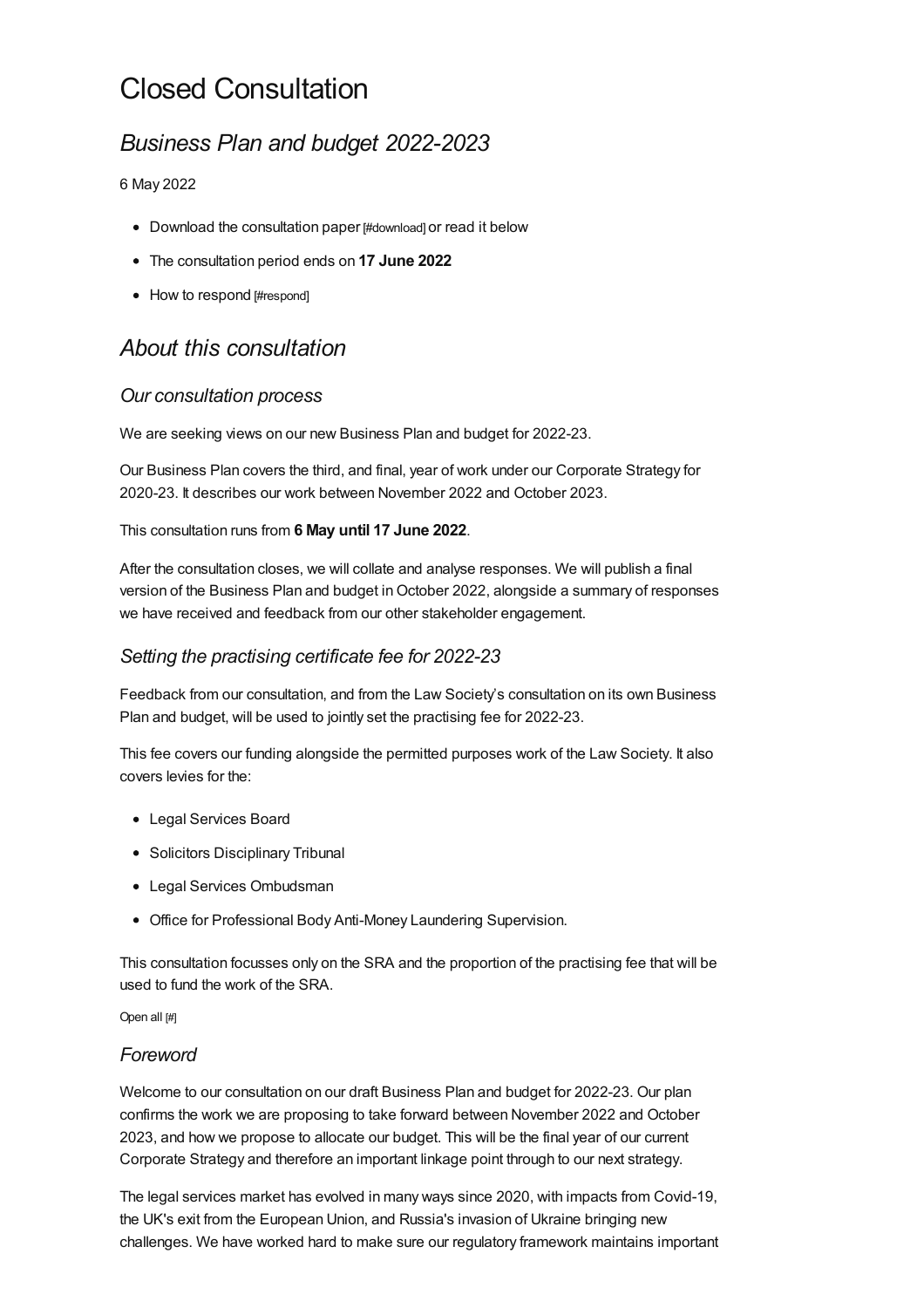# Closed Consultation

## *Business Plan and budget 2022-2023*

#### 6 May 2022

- Download the [consultation](#page-9-0) paper [#download] or read it below
- The consultation period ends on **17 June 2022**
- How to [respond](#page-8-0) [#respond]

## *About this consultation*

### *Our consultation process*

We are seeking views on our new Business Plan and budget for 2022-23.

Our Business Plan covers the third, and final, year of work under our Corporate Strategy for 2020-23. It describes our work between November 2022 and October 2023.

#### This consultation runs from **6 May until 17 June 2022**.

After the consultation closes, we will collate and analyse responses. We will publish a final version of the Business Plan and budget in October 2022, alongside a summary of responses we have received and feedback from our other stakeholder engagement.

## *Setting the practising certificate fee for 2022-23*

Feedback from our consultation, and from the Law Society's consultation on its own Business Plan and budget, will be used to jointly set the practising fee for 2022-23.

This fee covers our funding alongside the permitted purposes work of the Law Society. It also covers levies for the:

- Legal Services Board
- Solicitors Disciplinary Tribunal
- Legal Services Ombudsman
- Office for Professional Body Anti-Money Laundering Supervision.

This consultation focusses only on the SRA and the proportion of the practising fee that will be used to fund the work of the SRA.

Open all [#]

#### *[Foreword](#page-1-0)*

Welcome to our consultation on our draft Business Plan and budget for 2022-23. Our plan confirms the work we are proposing to take forward between November 2022 and October 2023, and how we propose to allocate our budget. This will be the final year of our current Corporate Strategy and therefore an important linkage point through to our next strategy.

The legal services market has evolved in many ways since 2020, with impacts from Covid-19, the UK's exit from the European Union, and Russia's invasion of Ukraine bringing new challenges. We have worked hard to make sure our regulatory framework maintains important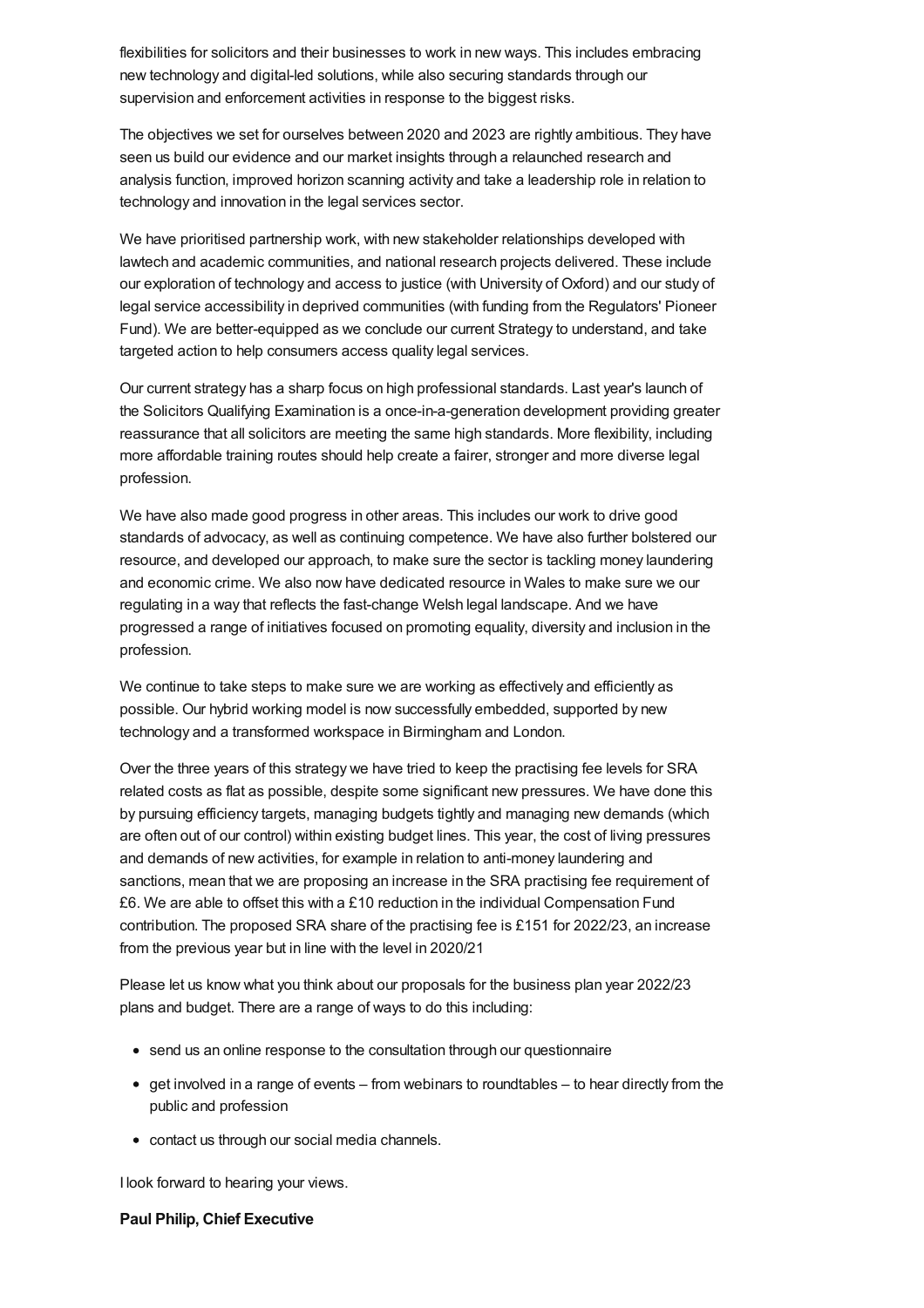<span id="page-1-0"></span>flexibilities for solicitors and their businesses to work in new ways. This includes embracing new technology and digital-led solutions, while also securing standards through our supervision and enforcement activities in response to the biggest risks.

The objectives we set for ourselves between 2020 and 2023 are rightly ambitious. They have seen us build our evidence and our market insights through a relaunched research and analysis function, improved horizon scanning activity and take a leadership role in relation to technology and innovation in the legal services sector.

We have prioritised partnership work, with new stakeholder relationships developed with lawtech and academic communities, and national research projects delivered. These include our exploration of technology and access to justice (with University of Oxford) and our study of legal service accessibility in deprived communities (with funding from the Regulators' Pioneer Fund). We are better-equipped as we conclude our current Strategy to understand, and take targeted action to help consumers access quality legal services.

Our current strategy has a sharp focus on high professional standards. Last year's launch of the Solicitors Qualifying Examination is a once-in-a-generation development providing greater reassurance that all solicitors are meeting the same high standards. More flexibility, including more affordable training routes should help create a fairer, stronger and more diverse legal profession.

We have also made good progress in other areas. This includes our work to drive good standards of advocacy, as well as continuing competence. We have also further bolstered our resource, and developed our approach, to make sure the sector is tackling money laundering and economic crime. We also now have dedicated resource in Wales to make sure we our regulating in a way that reflects the fast-change Welsh legal landscape. And we have progressed a range of initiatives focused on promoting equality, diversity and inclusion in the profession.

We continue to take steps to make sure we are working as effectively and efficiently as possible. Our hybrid working model is now successfully embedded, supported by new technology and a transformed workspace in Birmingham and London.

Over the three years of this strategy we have tried to keep the practising fee levels for SRA related costs as flat as possible, despite some significant new pressures. We have done this by pursuing efficiency targets, managing budgets tightly and managing new demands (which are often out of our control) within existing budget lines. This year, the cost of living pressures and demands of new activities, for example in relation to anti-money laundering and sanctions, mean that we are proposing an increase in the SRA practising fee requirement of £6. We are able to offset this with a £10 reduction in the individual Compensation Fund contribution. The proposed SRA share of the practising fee is £151 for 2022/23, an increase from the previous year but in line with the level in 2020/21

Please let us know what you think about our proposals for the business plan year 2022/23 plans and budget. There are a range of ways to do this including:

- send us an online response to the consultation through our questionnaire
- get involved in a range of events from webinars to roundtables to hear directly from the public and profession
- contact us through our social media channels.

I look forward to hearing your views.

#### **Paul Philip, Chief Executive**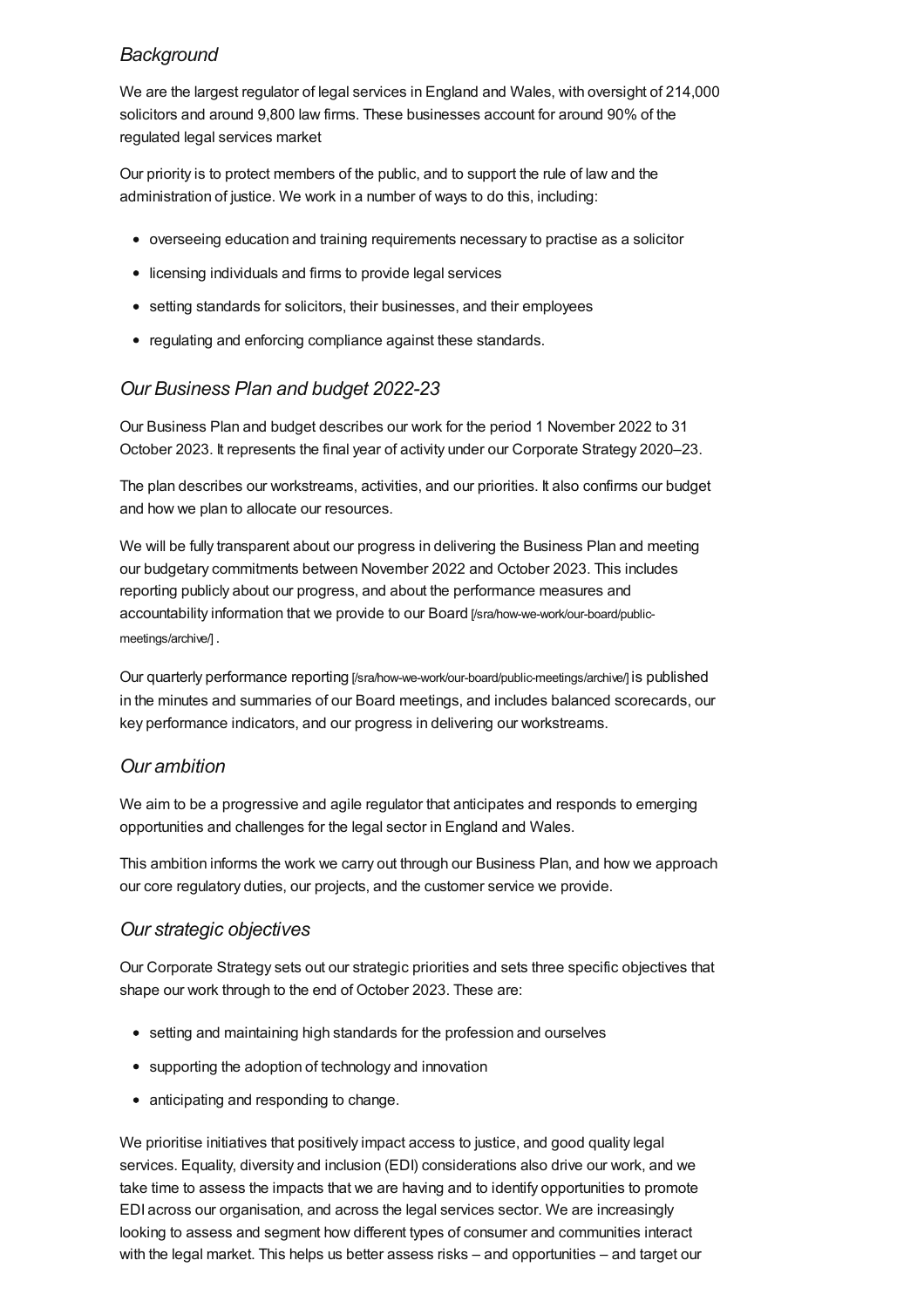## *[Background](#page-2-0)*

<span id="page-2-0"></span>We are the largest regulator of legal services in England and Wales, with oversight of 214,000 solicitors and around 9,800 law firms. These businesses account for around 90% of the regulated legal services market

Our priority is to protect members of the public, and to support the rule of law and the administration of justice. We work in a number of ways to do this, including:

- overseeing education and training requirements necessary to practise as a solicitor
- licensing individuals and firms to provide legal services
- setting standards for solicitors, their businesses, and their employees
- regulating and enforcing compliance against these standards.

## *Our [Business](#page-2-1) Plan and budget 2022-23*

<span id="page-2-1"></span>Our Business Plan and budget describes our work for the period 1 November 2022 to 31 October 2023. It represents the final year of activity under our Corporate Strategy 2020–23.

The plan describes our workstreams, activities, and our priorities. It also confirms our budget and how we plan to allocate our resources.

We will be fully transparent about our progress in delivering the Business Plan and meeting our budgetary commitments between November 2022 and October 2023. This includes reporting publicly about our progress, and about the performance measures and accountability information that we provide to our Board [\[/sra/how-we-work/our-board/public](https://www.sra.org.uk/sra/how-we-work/our-board/public-meetings/archive/)meetings/archive/] .

Our quarterly performance reporting [\[/sra/how-we-work/our-board/public-meetings/archive/\]](https://www.sra.org.uk/sra/how-we-work/our-board/public-meetings/archive/) is published in the minutes and summaries of our Board meetings, and includes balanced scorecards, our key performance indicators, and our progress in delivering our workstreams.

## *Our ambition*

We aim to be a progressive and agile regulator that anticipates and responds to emerging opportunities and challenges for the legal sector in England and Wales.

This ambition informs the work we carry out through our Business Plan, and how we approach our core regulatory duties, our projects, and the customer service we provide.

## *Our strategic objectives*

Our Corporate Strategy sets out our strategic priorities and sets three specific objectives that shape our work through to the end of October 2023. These are:

- setting and maintaining high standards for the profession and ourselves
- supporting the adoption of technology and innovation
- anticipating and responding to change.

We prioritise initiatives that positively impact access to justice, and good quality legal services. Equality, diversity and inclusion (EDI) considerations also drive our work, and we take time to assess the impacts that we are having and to identify opportunities to promote EDI across our organisation, and across the legal services sector. We are increasingly looking to assess and segment how different types of consumer and communities interact with the legal market. This helps us better assess risks – and opportunities – and target our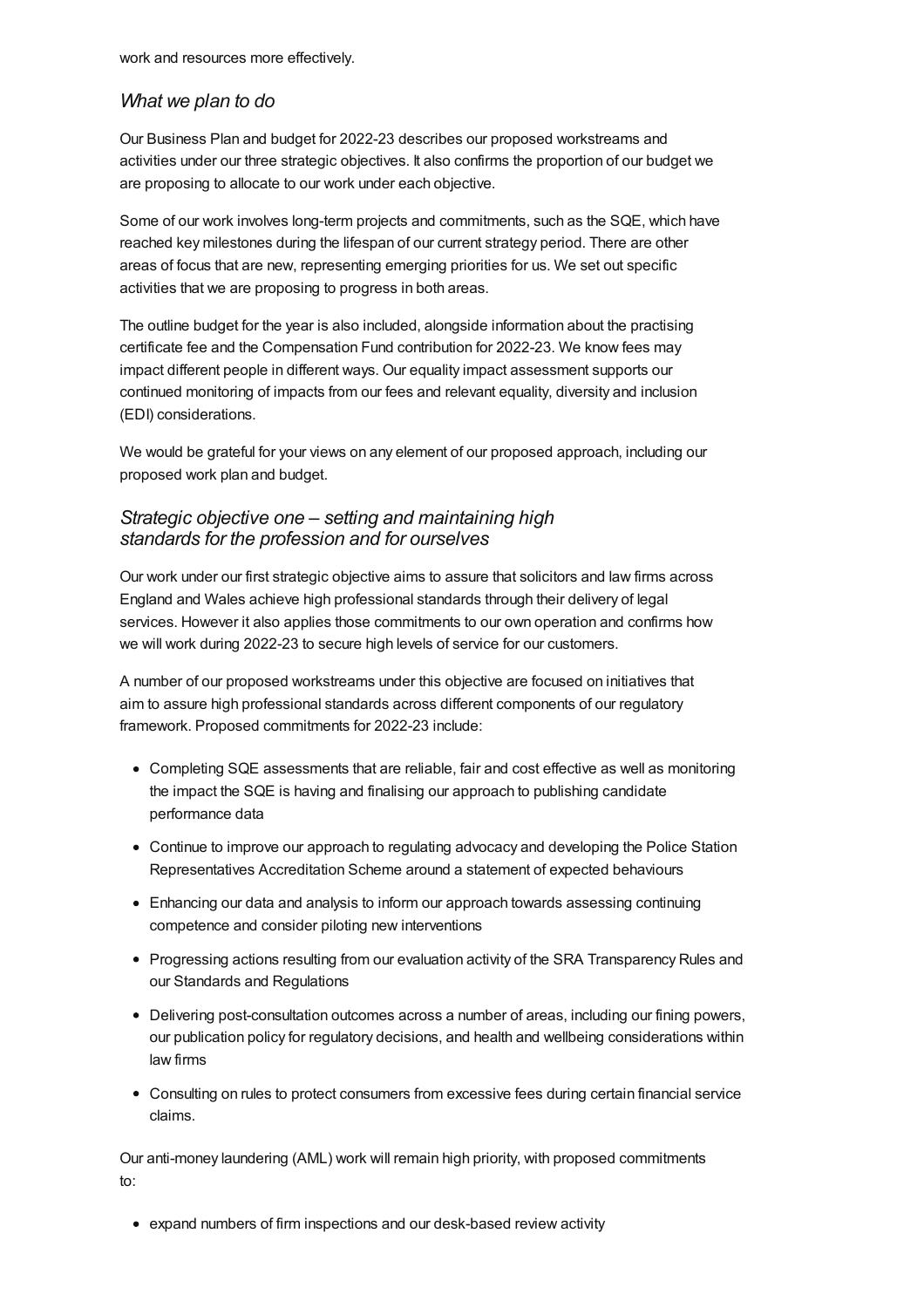work and resources more effectively.

#### *[What](#page-5-0) we plan to do*

Our Business Plan and budget for 2022-23 describes our proposed workstreams and activities under our three strategic objectives. It also confirms the proportion of our budget we are proposing to allocate to our work under each objective.

Some of our work involves long-term projects and commitments, such as the SQE, which have reached key milestones during the lifespan of our current strategy period. There are other areas of focus that are new, representing emerging priorities for us. We set out specific activities that we are proposing to progress in both areas.

The outline budget for the year is also included, alongside information about the practising certificate fee and the Compensation Fund contribution for 2022-23. We know fees may impact different people in different ways. Our equality impact assessment supports our continued monitoring of impacts from our fees and relevant equality, diversity and inclusion (EDI) considerations.

We would be grateful for your views on any element of our proposed approach, including our proposed work plan and budget.

### *Strategic objective one – setting and maintaining high standards for the profession and for ourselves*

Our work under our first strategic objective aims to assure that solicitors and law firms across England and Wales achieve high professional standards through their delivery of legal services. However it also applies those commitments to our own operation and confirms how we will work during 2022-23 to secure high levels of service for our customers.

A number of our proposed workstreams under this objective are focused on initiatives that aim to assure high professional standards across different components of our regulatory framework. Proposed commitments for 2022-23 include:

- Completing SQE assessments that are reliable, fair and cost effective as well as monitoring the impact the SQE is having and finalising our approach to publishing candidate performance data
- Continue to improve our approach to regulating advocacy and developing the Police Station Representatives Accreditation Scheme around a statement of expected behaviours
- Enhancing our data and analysis to inform our approach towards assessing continuing competence and consider piloting new interventions
- Progressing actions resulting from our evaluation activity of the SRA Transparency Rules and our Standards and Regulations
- Delivering post-consultation outcomes across a number of areas, including our fining powers, our publication policy for regulatory decisions, and health and wellbeing considerations within law firms
- Consulting on rules to protect consumers from excessive fees during certain financial service claims.

Our anti-money laundering (AML) work will remain high priority, with proposed commitments to:

expand numbers of firm inspections and our desk-based review activity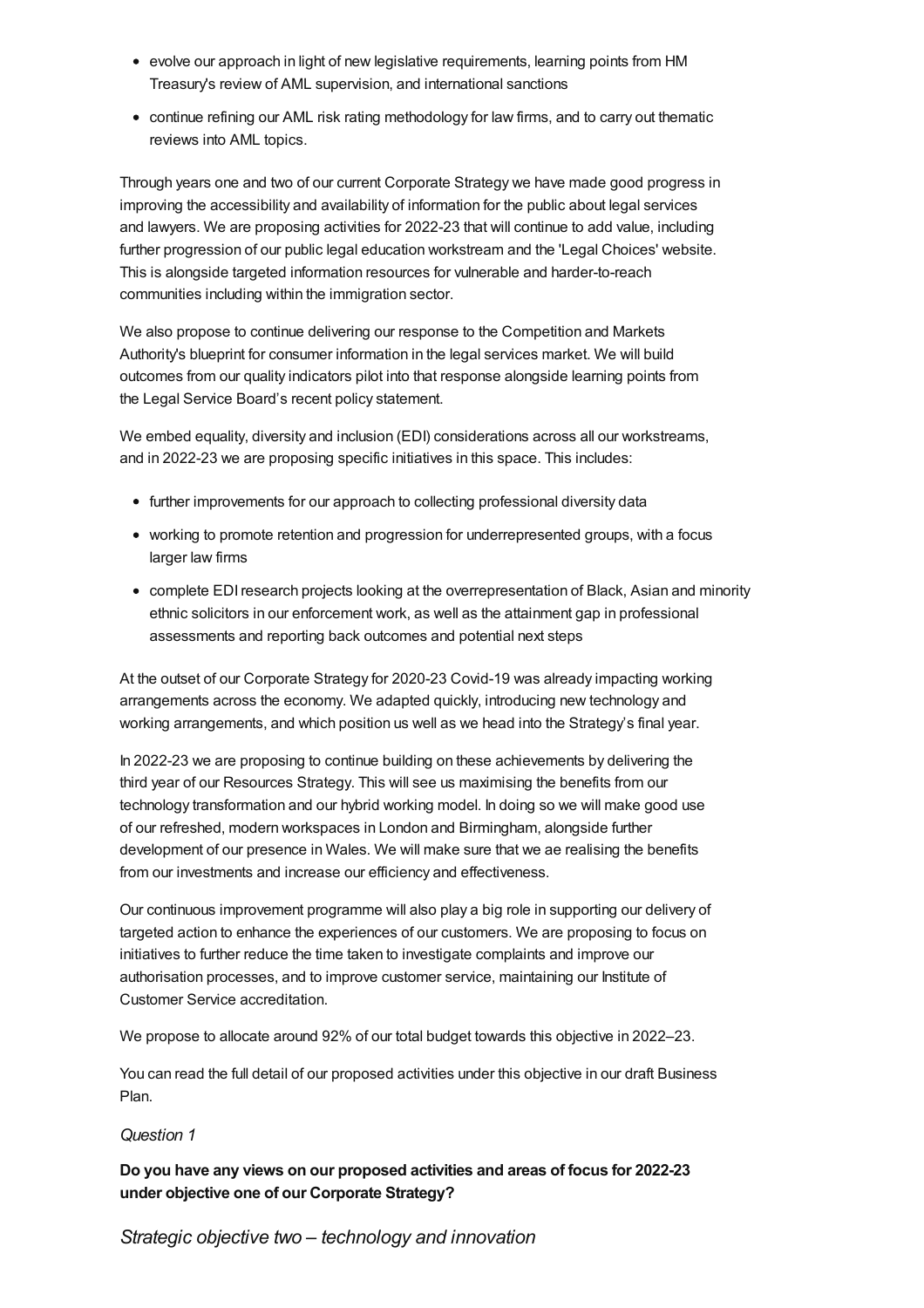- evolve our approach in light of new legislative requirements, learning points from HM Treasury's review of AML supervision, and international sanctions
- continue refining our AML risk rating methodology for law firms, and to carry out thematic reviews into AML topics.

Through years one and two of our current Corporate Strategy we have made good progress in improving the accessibility and availability of information for the public about legal services and lawyers. We are proposing activities for 2022-23 that will continue to add value, including further progression of our public legal education workstream and the 'Legal Choices' website. This is alongside targeted information resources for vulnerable and harder-to-reach communities including within the immigration sector.

We also propose to continue delivering our response to the Competition and Markets Authority's blueprint for consumer information in the legal services market. We will build outcomes from our quality indicators pilot into that response alongside learning points from the Legal Service Board's recent policy statement.

We embed equality, diversity and inclusion (EDI) considerations across all our workstreams, and in 2022-23 we are proposing specific initiatives in this space. This includes:

- further improvements for our approach to collecting professional diversity data
- working to promote retention and progression for underrepresented groups, with a focus larger law firms
- complete EDIresearch projects looking at the overrepresentation of Black, Asian and minority ethnic solicitors in our enforcement work, as well as the attainment gap in professional assessments and reporting back outcomes and potential next steps

At the outset of our Corporate Strategy for 2020-23 Covid-19 was already impacting working arrangements across the economy. We adapted quickly, introducing new technology and working arrangements, and which position us well as we head into the Strategy's final year.

In 2022-23 we are proposing to continue building on these achievements by delivering the third year of our Resources Strategy. This will see us maximising the benefits from our technology transformation and our hybrid working model. In doing so we will make good use of our refreshed, modern workspaces in London and Birmingham, alongside further development of our presence in Wales. We will make sure that we ae realising the benefits from our investments and increase our efficiency and effectiveness.

Our continuous improvement programme will also play a big role in supporting our delivery of targeted action to enhance the experiences of our customers. We are proposing to focus on initiatives to further reduce the time taken to investigate complaints and improve our authorisation processes, and to improve customer service, maintaining our Institute of Customer Service accreditation.

We propose to allocate around 92% of our total budget towards this objective in 2022–23.

You can read the full detail of our proposed activities under this objective in our draft Business Plan.

#### *Question 1*

**Do you have any views on our proposed activities and areas of focus for 2022-23 under objective one of our Corporate Strategy?**

*Strategic objective two – technology and innovation*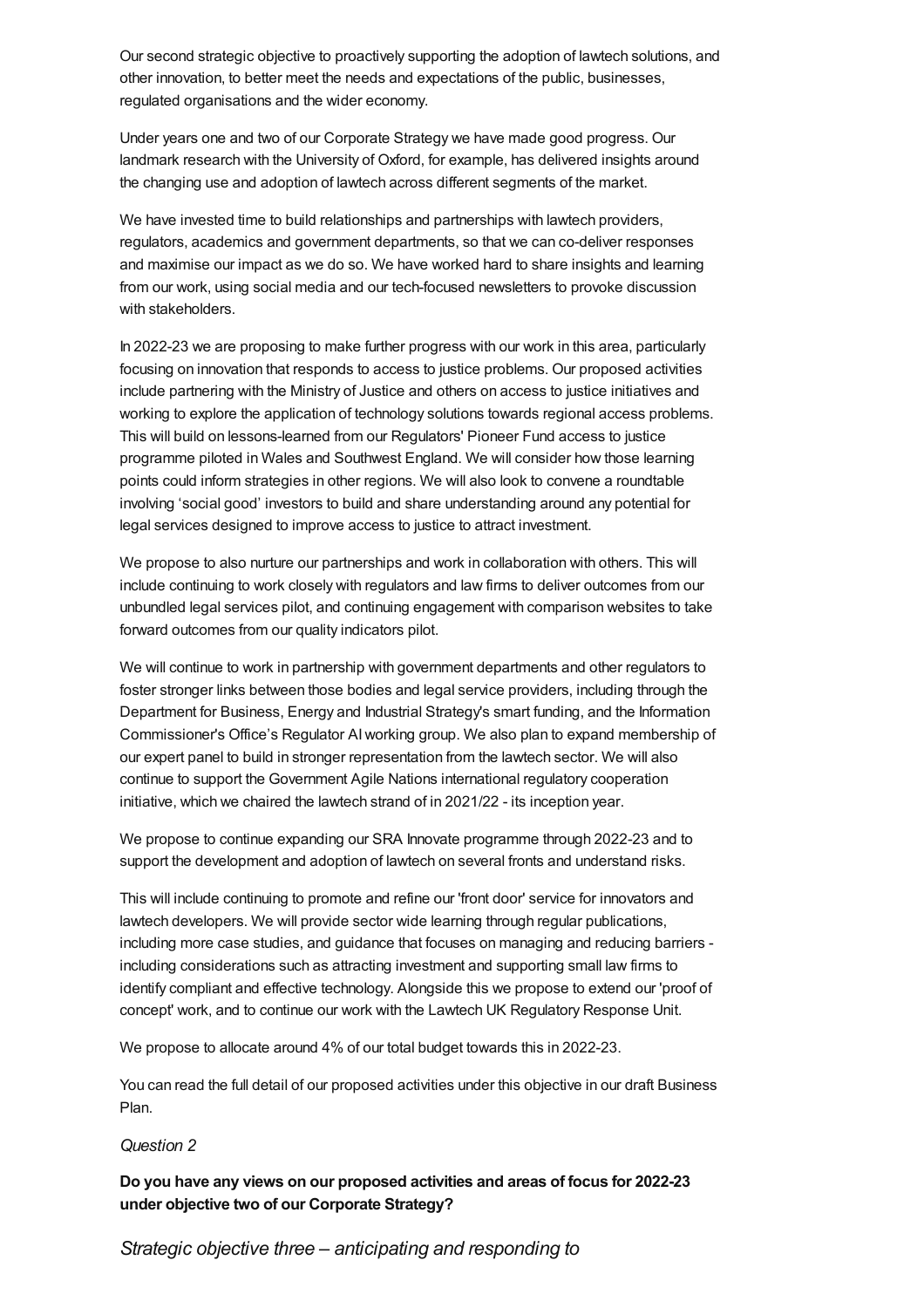<span id="page-5-0"></span>Our second strategic objective to proactively supporting the adoption of lawtech solutions, and other innovation, to better meet the needs and expectations of the public, businesses, regulated organisations and the wider economy.

Under years one and two of our Corporate Strategy we have made good progress. Our landmark research with the University of Oxford, for example, has delivered insights around the changing use and adoption of lawtech across different segments of the market.

We have invested time to build relationships and partnerships with lawtech providers, regulators, academics and government departments, so that we can co-deliver responses and maximise our impact as we do so. We have worked hard to share insights and learning from our work, using social media and our tech-focused newsletters to provoke discussion with stakeholders.

In 2022-23 we are proposing to make further progress with our work in this area, particularly focusing on innovation that responds to access to justice problems. Our proposed activities include partnering with the Ministry of Justice and others on access to justice initiatives and working to explore the application of technology solutions towards regional access problems. This will build on lessons-learned from our Regulators' Pioneer Fund access to justice programme piloted in Wales and Southwest England. We will consider how those learning points could inform strategies in other regions. We will also look to convene a roundtable involving 'social good' investors to build and share understanding around any potential for legal services designed to improve access to justice to attract investment.

We propose to also nurture our partnerships and work in collaboration with others. This will include continuing to work closely with regulators and law firms to deliver outcomes from our unbundled legal services pilot, and continuing engagement with comparison websites to take forward outcomes from our quality indicators pilot.

We will continue to work in partnership with government departments and other regulators to foster stronger links between those bodies and legal service providers, including through the Department for Business, Energy and Industrial Strategy's smart funding, and the Information Commissioner's Office's Regulator AIworking group. We also plan to expand membership of our expert panel to build in stronger representation from the lawtech sector. We will also continue to support the Government Agile Nations international regulatory cooperation initiative, which we chaired the lawtech strand of in 2021/22 - its inception year.

We propose to continue expanding our SRA Innovate programme through 2022-23 and to support the development and adoption of lawtech on several fronts and understand risks.

This will include continuing to promote and refine our 'front door' service for innovators and lawtech developers. We will provide sector wide learning through regular publications, including more case studies, and guidance that focuses on managing and reducing barriers including considerations such as attracting investment and supporting small law firms to identify compliant and effective technology. Alongside this we propose to extend our 'proof of concept' work, and to continue our work with the Lawtech UK Regulatory Response Unit.

We propose to allocate around 4% of our total budget towards this in 2022-23.

You can read the full detail of our proposed activities under this objective in our draft Business Plan.

#### *Question 2*

**Do you have any views on our proposed activities and areas of focus for 2022-23 under objective two of our Corporate Strategy?**

*Strategic objective three – anticipating and responding to*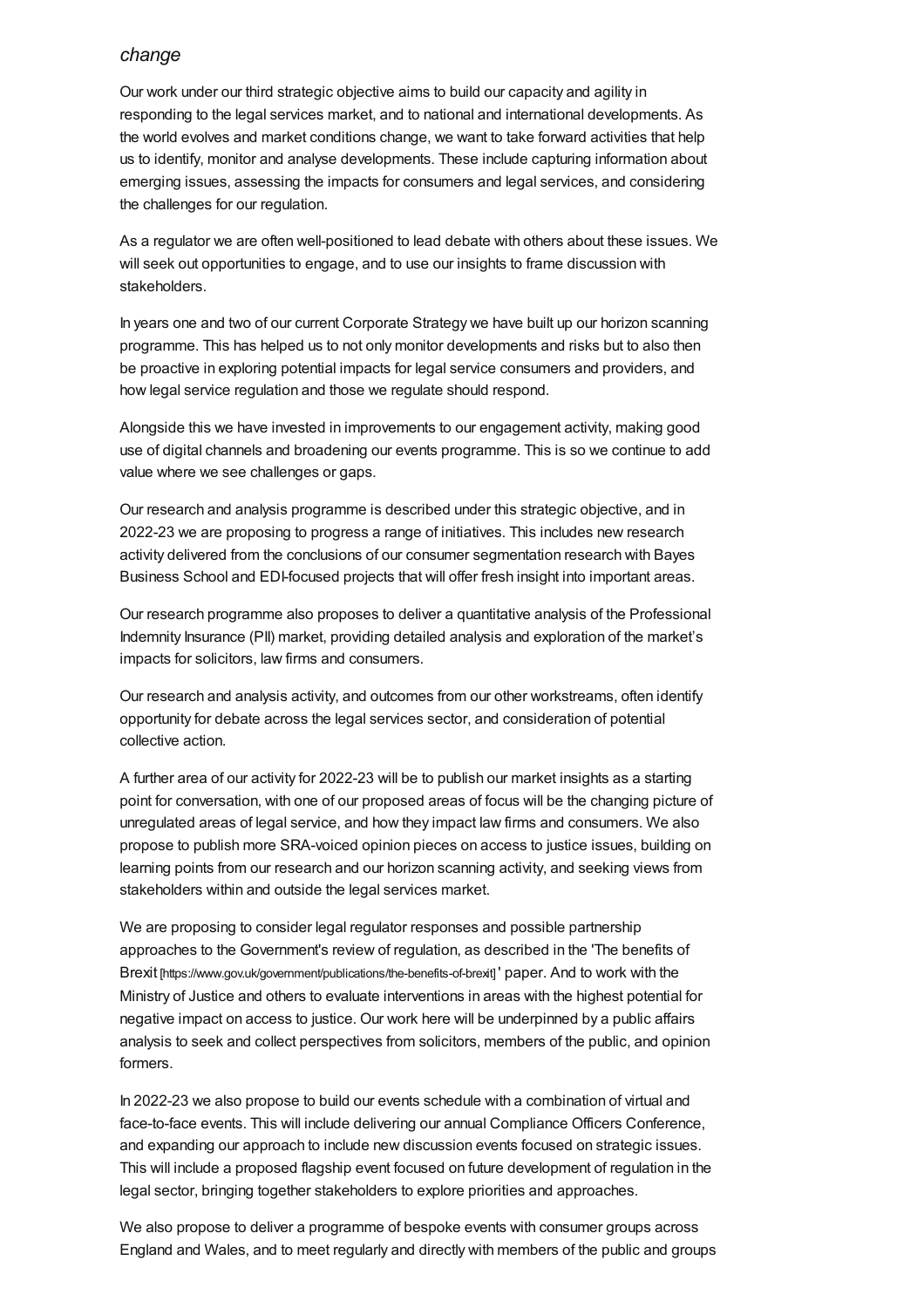#### *change*

Our work under our third strategic objective aims to build our capacity and agility in responding to the legal services market, and to national and international developments. As the world evolves and market conditions change, we want to take forward activities that help us to identify, monitor and analyse developments. These include capturing information about emerging issues, assessing the impacts for consumers and legal services, and considering the challenges for our regulation.

As a regulator we are often well-positioned to lead debate with others about these issues. We will seek out opportunities to engage, and to use our insights to frame discussion with stakeholders.

In years one and two of our current Corporate Strategy we have built up our horizon scanning programme. This has helped us to not only monitor developments and risks but to also then be proactive in exploring potential impacts for legal service consumers and providers, and how legal service regulation and those we regulate should respond.

Alongside this we have invested in improvements to our engagement activity, making good use of digital channels and broadening our events programme. This is so we continue to add value where we see challenges or gaps.

Our research and analysis programme is described under this strategic objective, and in 2022-23 we are proposing to progress a range of initiatives. This includes new research activity delivered from the conclusions of our consumer segmentation research with Bayes Business School and EDI-focused projects that will offer fresh insight into important areas.

Our research programme also proposes to deliver a quantitative analysis of the Professional Indemnity Insurance (PII) market, providing detailed analysis and exploration of the market's impacts for solicitors, law firms and consumers.

Our research and analysis activity, and outcomes from our other workstreams, often identify opportunity for debate across the legal services sector, and consideration of potential collective action.

A further area of our activity for 2022-23 will be to publish our market insights as a starting point for conversation, with one of our proposed areas of focus will be the changing picture of unregulated areas of legal service, and how they impact law firms and consumers. We also propose to publish more SRA-voiced opinion pieces on access to justice issues, building on learning points from our research and our horizon scanning activity, and seeking views from stakeholders within and outside the legal services market.

We are proposing to consider legal regulator responses and possible partnership approaches to the Government's review of regulation, as described in the 'The benefits of Brexit [\[https://www.gov.uk/government/publications/the-benefits-of-brexit\]](https://www.gov.uk/government/publications/the-benefits-of-brexit) ' paper. And to work with the Ministry of Justice and others to evaluate interventions in areas with the highest potential for negative impact on access to justice. Our work here will be underpinned by a public affairs analysis to seek and collect perspectives from solicitors, members of the public, and opinion formers.

In 2022-23 we also propose to build our events schedule with a combination of virtual and face-to-face events. This will include delivering our annual Compliance Officers Conference, and expanding our approach to include new discussion events focused on strategic issues. This will include a proposed flagship event focused on future development of regulation in the legal sector, bringing together stakeholders to explore priorities and approaches.

We also propose to deliver a programme of bespoke events with consumer groups across England and Wales, and to meet regularly and directly with members of the public and groups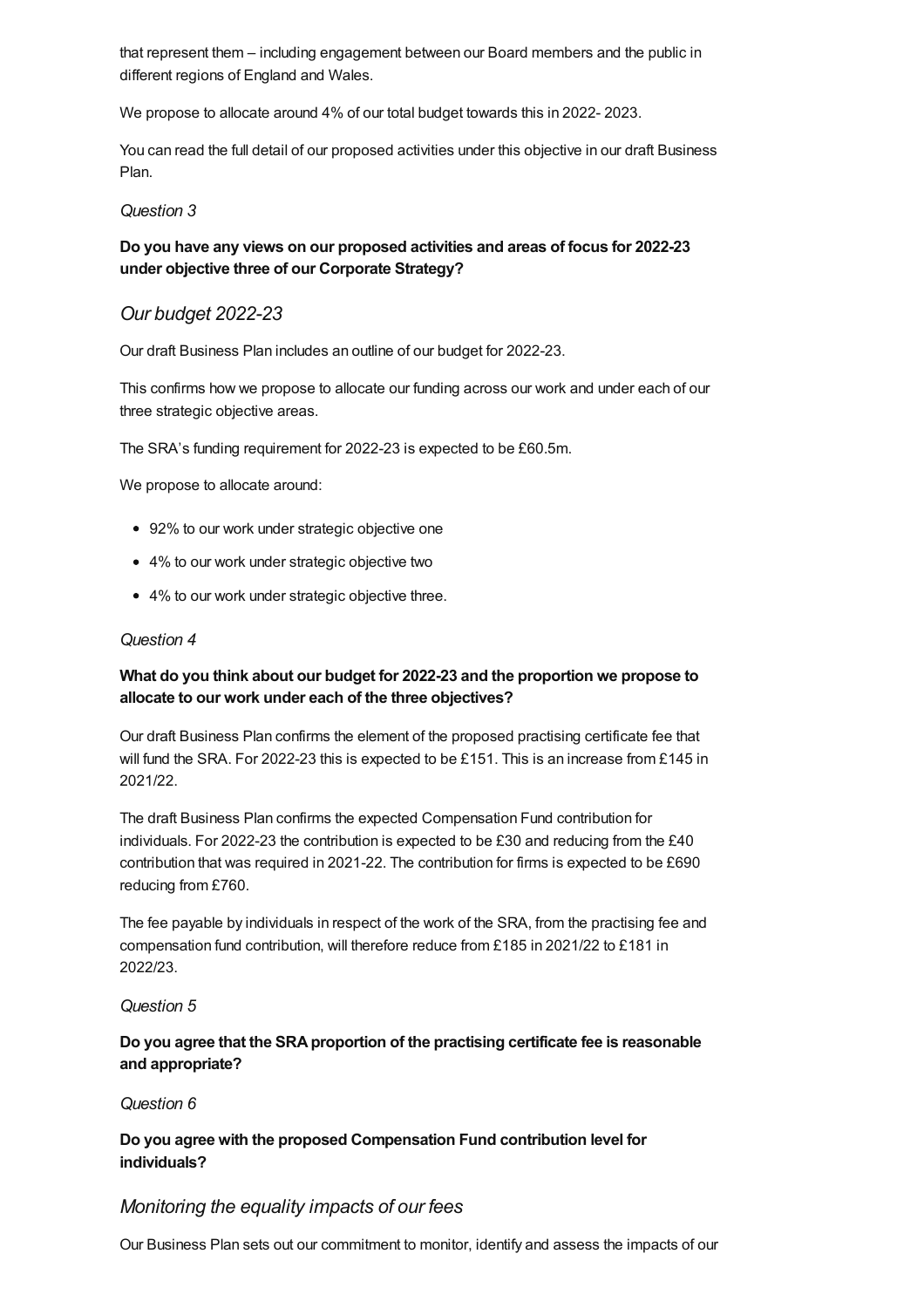that represent them – including engagement between our Board members and the public in different regions of England and Wales.

We propose to allocate around 4% of our total budget towards this in 2022- 2023.

You can read the full detail of our proposed activities under this objective in our draft Business Plan.

#### *Question 3*

#### **Do you have any views on our proposed activities and areas of focus for 2022-23 under objective three of our Corporate Strategy?**

#### *Our budget [2022-23](#page-7-0)*

<span id="page-7-0"></span>Our draft Business Plan includes an outline of our budget for 2022-23.

This confirms how we propose to allocate our funding across our work and under each of our three strategic objective areas.

The SRA's funding requirement for 2022-23 is expected to be £60.5m.

We propose to allocate around:

- 92% to our work under strategic objective one
- 4% to our work under strategic objective two
- 4% to our work under strategic objective three.

#### *Question 4*

#### **What do you think about our budget for 2022-23 and the proportion we propose to allocate to our work under each of the three objectives?**

Our draft Business Plan confirms the element of the proposed practising certificate fee that will fund the SRA. For 2022-23 this is expected to be £151. This is an increase from £145 in 2021/22.

The draft Business Plan confirms the expected Compensation Fund contribution for individuals. For 2022-23 the contribution is expected to be £30 and reducing from the £40 contribution that was required in 2021-22. The contribution for firms is expected to be £690 reducing from £760.

The fee payable by individuals in respect of the work of the SRA, from the practising fee and compensation fund contribution, will therefore reduce from £185 in 2021/22 to £181 in 2022/23.

#### *Question 5*

#### **Do you agree that the SRAproportion of the practising certificate fee is reasonable and appropriate?**

#### *Question 6*

**Do you agree with the proposed Compensation Fund contribution level for individuals?**

#### *Monitoring the equality impacts of our fees*

Our Business Plan sets out our commitment to monitor, identify and assess the impacts of our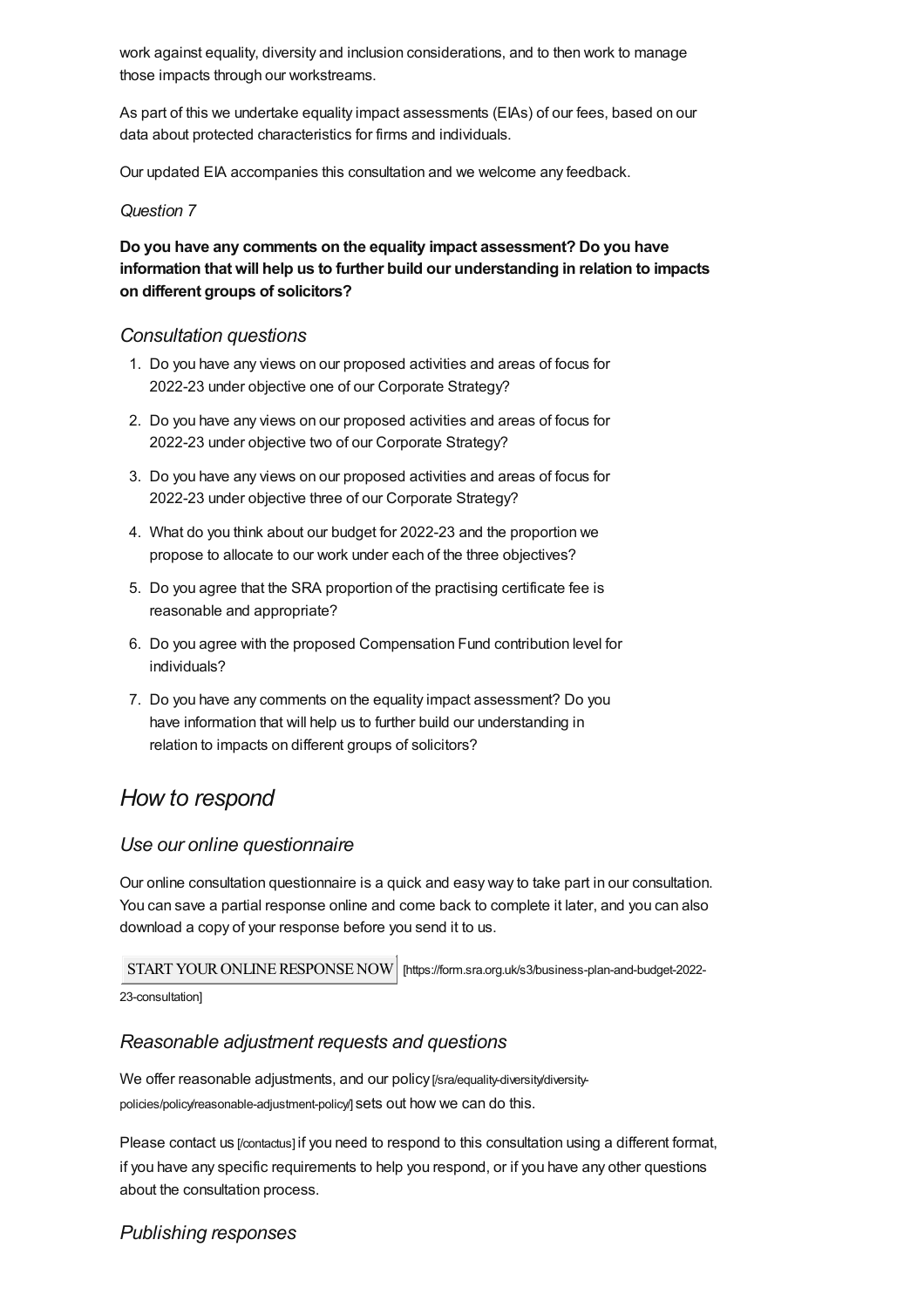work against equality, diversity and inclusion considerations, and to then work to manage those impacts through our workstreams.

As part of this we undertake equality impact assessments (EIAs) of our fees, based on our data about protected characteristics for firms and individuals.

Our updated EIA accompanies this consultation and we welcome any feedback.

#### *Question 7*

### **Do you have any comments on the equality impact assessment? Do you have information that will help us to further build our understanding in relation to impacts on different groups of solicitors?**

#### *[Consultation](#page-8-1) questions*

- <span id="page-8-1"></span>1. Do you have any views on our proposed activities and areas of focus for 2022-23 under objective one of our Corporate Strategy?
- 2. Do you have any views on our proposed activities and areas of focus for 2022-23 under objective two of our Corporate Strategy?
- 3. Do you have any views on our proposed activities and areas of focus for 2022-23 under objective three of our Corporate Strategy?
- 4. What do you think about our budget for 2022-23 and the proportion we propose to allocate to our work under each of the three objectives?
- 5. Do you agree that the SRA proportion of the practising certificate fee is reasonable and appropriate?
- 6. Do you agree with the proposed Compensation Fund contribution level for individuals?
- 7. Do you have any comments on the equality impact assessment? Do you have information that will help us to further build our understanding in relation to impacts on different groups of solicitors?

## <span id="page-8-0"></span>*How to respond*

#### *Use our online questionnaire*

Our online consultation questionnaire is a quick and easy way to take part in our consultation. You can save a partial response online and come back to complete it later, and you can also download a copy of your response before you send it to us.

START YOUR ONLINE RESPONSE NOW | [https://form.sra.org.uk/s3/business-plan-and-budget-2022-

23-consultation]

## *Reasonable adjustment requests and questions*

We offer reasonable adjustments, and our policy [/sra/equality-diversity/diversity[policies/policy/reasonable-adjustment-policy/\]](https://www.sra.org.uk/sra/equality-diversity/diversity-policies/policy/reasonable-adjustment-policy/) sets out how we can do this.

Please contact us [\[/contactus\]](https://www.sra.org.uk/contactus) if you need to respond to this consultation using a different format, if you have any specific requirements to help you respond, or if you have any other questions about the consultation process.

## *Publishing responses*